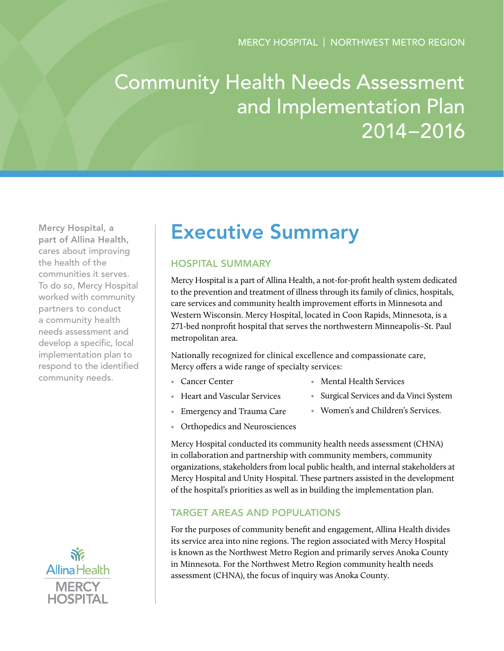# Community Health Needs Assessment and Implementation Plan 2014–2016

Mercy Hospital, a part of Allina Health, cares about improving the health of the communities it serves. To do so, Mercy Hospital worked with community partners to conduct a community health needs assessment and develop a specific, local implementation plan to respond to the identified community needs.



## Executive Summary

## Hospital Summary

Mercy Hospital is a part of Allina Health, a not-for-profit health system dedicated to the prevention and treatment of illness through its family of clinics, hospitals, care services and community health improvement efforts in Minnesota and Western Wisconsin. Mercy Hospital, located in Coon Rapids, Minnesota, is a 271-bed nonprofit hospital that serves the northwestern Minneapolis–St. Paul metropolitan area.

Nationally recognized for clinical excellence and compassionate care, Mercy offers a wide range of specialty services:

• Cancer Center

- Mental Health Services
- Heart and Vascular Services
- Surgical Services and da Vinci System
- 
- Women's and Children's Services.
- Emergency and Trauma Care • Orthopedics and Neurosciences

Mercy Hospital conducted its community health needs assessment (CHNA) in collaboration and partnership with community members, community organizations, stakeholders from local public health, and internal stakeholders at Mercy Hospital and Unity Hospital. These partners assisted in the development of the hospital's priorities as well as in building the implementation plan.

## Target Areas and Populations

For the purposes of community benefit and engagement, Allina Health divides its service area into nine regions. The region associated with Mercy Hospital is known as the Northwest Metro Region and primarily serves Anoka County in Minnesota. For the Northwest Metro Region community health needs assessment (CHNA), the focus of inquiry was Anoka County.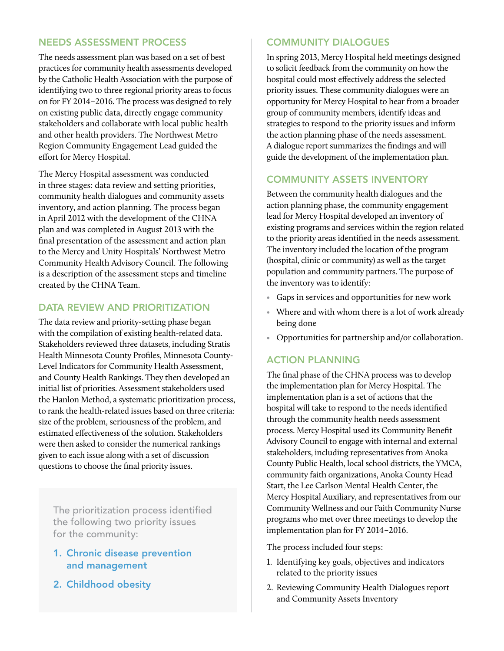## Needs Assessment Process

The needs assessment plan was based on a set of best practices for community health assessments developed by the Catholic Health Association with the purpose of identifying two to three regional priority areas to focus on for FY 2014–2016. The process was designed to rely on existing public data, directly engage community stakeholders and collaborate with local public health and other health providers. The Northwest Metro Region Community Engagement Lead guided the effort for Mercy Hospital.

The Mercy Hospital assessment was conducted in three stages: data review and setting priorities, community health dialogues and community assets inventory, and action planning. The process began in April 2012 with the development of the CHNA plan and was completed in August 2013 with the final presentation of the assessment and action plan to the Mercy and Unity Hospitals' Northwest Metro Community Health Advisory Council. The following is a description of the assessment steps and timeline created by the CHNA Team.

## DATA REVIEW AND PRIORITIZATION

The data review and priority-setting phase began with the compilation of existing health-related data. Stakeholders reviewed three datasets, including Stratis Health Minnesota County Profiles, Minnesota County-Level Indicators for Community Health Assessment, and County Health Rankings. They then developed an initial list of priorities. Assessment stakeholders used the Hanlon Method, a systematic prioritization process, to rank the health-related issues based on three criteria: size of the problem, seriousness of the problem, and estimated effectiveness of the solution. Stakeholders were then asked to consider the numerical rankings given to each issue along with a set of discussion questions to choose the final priority issues.

The prioritization process identified the following two priority issues for the community:

- 1. Chronic disease prevention and management
- 2. Childhood obesity

## Community Dialogues

In spring 2013, Mercy Hospital held meetings designed to solicit feedback from the community on how the hospital could most effectively address the selected priority issues. These community dialogues were an opportunity for Mercy Hospital to hear from a broader group of community members, identify ideas and strategies to respond to the priority issues and inform the action planning phase of the needs assessment. A dialogue report summarizes the findings and will guide the development of the implementation plan.

## Community Assets Inventory

Between the community health dialogues and the action planning phase, the community engagement lead for Mercy Hospital developed an inventory of existing programs and services within the region related to the priority areas identified in the needs assessment. The inventory included the location of the program (hospital, clinic or community) as well as the target population and community partners. The purpose of the inventory was to identify:

- Gaps in services and opportunities for new work
- Where and with whom there is a lot of work already being done
- Opportunities for partnership and/or collaboration.

## Action Planning

The final phase of the CHNA process was to develop the implementation plan for Mercy Hospital. The implementation plan is a set of actions that the hospital will take to respond to the needs identified through the community health needs assessment process. Mercy Hospital used its Community Benefit Advisory Council to engage with internal and external stakeholders, including representatives from Anoka County Public Health, local school districts, the YMCA, community faith organizations, Anoka County Head Start, the Lee Carlson Mental Health Center, the Mercy Hospital Auxiliary, and representatives from our Community Wellness and our Faith Community Nurse programs who met over three meetings to develop the implementation plan for FY 2014–2016.

The process included four steps:

- 1. Identifying key goals, objectives and indicators related to the priority issues
- 2. Reviewing Community Health Dialogues report and Community Assets Inventory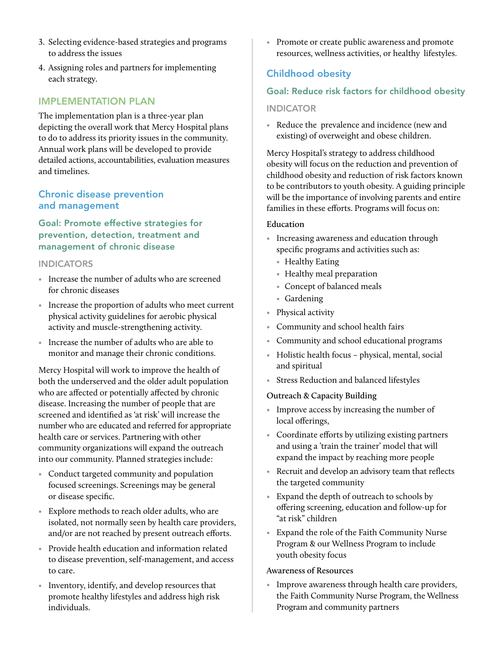- 3. Selecting evidence-based strategies and programs to address the issues
- 4. Assigning roles and partners for implementing each strategy.

## Implementation Plan

The implementation plan is a three-year plan depicting the overall work that Mercy Hospital plans to do to address its priority issues in the community. Annual work plans will be developed to provide detailed actions, accountabilities, evaluation measures and timelines.

## Chronic disease prevention and management

Goal: Promote effective strategies for prevention, detection, treatment and management of chronic disease

#### **INDICATORS**

- Increase the number of adults who are screened for chronic diseases
- Increase the proportion of adults who meet current physical activity guidelines for aerobic physical activity and muscle-strengthening activity.
- Increase the number of adults who are able to monitor and manage their chronic conditions.

Mercy Hospital will work to improve the health of both the underserved and the older adult population who are affected or potentially affected by chronic disease. Increasing the number of people that are screened and identified as 'at risk' will increase the number who are educated and referred for appropriate health care or services. Partnering with other community organizations will expand the outreach into our community. Planned strategies include:

- Conduct targeted community and population focused screenings. Screenings may be general or disease specific.
- Explore methods to reach older adults, who are isolated, not normally seen by health care providers, and/or are not reached by present outreach efforts.
- Provide health education and information related to disease prevention, self-management, and access to care.
- Inventory, identify, and develop resources that promote healthy lifestyles and address high risk individuals.

• Promote or create public awareness and promote resources, wellness activities, or healthy lifestyles.

## Childhood obesity

## Goal: Reduce risk factors for childhood obesity

#### **INDICATOR**

• Reduce the prevalence and incidence (new and existing) of overweight and obese children.

Mercy Hospital's strategy to address childhood obesity will focus on the reduction and prevention of childhood obesity and reduction of risk factors known to be contributors to youth obesity. A guiding principle will be the importance of involving parents and entire families in these efforts. Programs will focus on:

#### **Education**

- Increasing awareness and education through specific programs and activities such as:
	- Healthy Eating
	- Healthy meal preparation
	- Concept of balanced meals
	- Gardening
- Physical activity
- Community and school health fairs
- Community and school educational programs
- Holistic health focus physical, mental, social and spiritual
- Stress Reduction and balanced lifestyles

#### **Outreach & Capacity Building**

- Improve access by increasing the number of local offerings,
- Coordinate efforts by utilizing existing partners and using a 'train the trainer' model that will expand the impact by reaching more people
- Recruit and develop an advisory team that reflects the targeted community
- Expand the depth of outreach to schools by offering screening, education and follow-up for "at risk" children
- Expand the role of the Faith Community Nurse Program & our Wellness Program to include youth obesity focus

#### **Awareness of Resources**

• Improve awareness through health care providers, the Faith Community Nurse Program, the Wellness Program and community partners